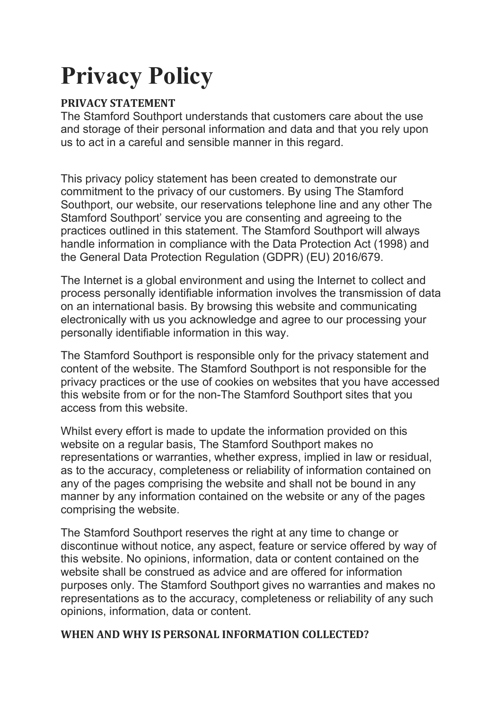# Privacy Policy

# PRIVACY STATEMENT

The Stamford Southport understands that customers care about the use and storage of their personal information and data and that you rely upon us to act in a careful and sensible manner in this regard.

This privacy policy statement has been created to demonstrate our commitment to the privacy of our customers. By using The Stamford Southport, our website, our reservations telephone line and any other The Stamford Southport' service you are consenting and agreeing to the practices outlined in this statement. The Stamford Southport will always handle information in compliance with the Data Protection Act (1998) and the General Data Protection Regulation (GDPR) (EU) 2016/679.

The Internet is a global environment and using the Internet to collect and process personally identifiable information involves the transmission of data on an international basis. By browsing this website and communicating electronically with us you acknowledge and agree to our processing your personally identifiable information in this way.

The Stamford Southport is responsible only for the privacy statement and content of the website. The Stamford Southport is not responsible for the privacy practices or the use of cookies on websites that you have accessed this website from or for the non-The Stamford Southport sites that you access from this website.

Whilst every effort is made to update the information provided on this website on a regular basis, The Stamford Southport makes no representations or warranties, whether express, implied in law or residual, as to the accuracy, completeness or reliability of information contained on any of the pages comprising the website and shall not be bound in any manner by any information contained on the website or any of the pages comprising the website.

The Stamford Southport reserves the right at any time to change or discontinue without notice, any aspect, feature or service offered by way of this website. No opinions, information, data or content contained on the website shall be construed as advice and are offered for information purposes only. The Stamford Southport gives no warranties and makes no representations as to the accuracy, completeness or reliability of any such opinions, information, data or content.

#### WHEN AND WHY IS PERSONAL INFORMATION COLLECTED?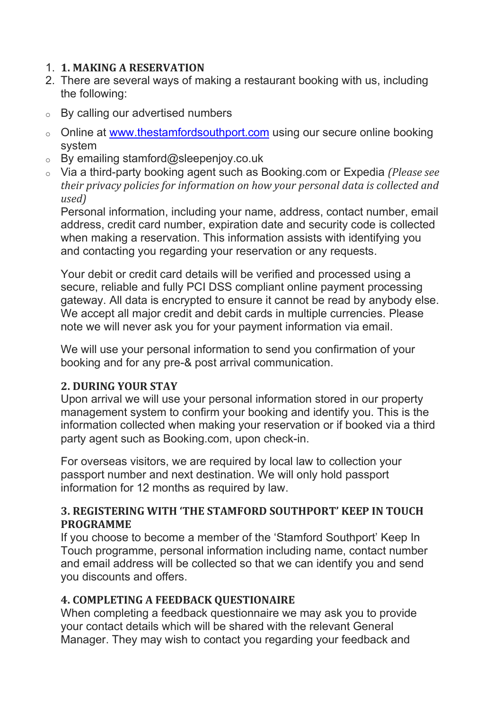## 1. 1. MAKING A RESERVATION

- 2. There are several ways of making a restaurant booking with us, including the following:
- o By calling our advertised numbers
- o Online at www.thestamfordsouthport.com using our secure online booking system
- $\circ$  By emailing stamford@sleepenjoy.co.uk
- $\circ$  Via a third-party booking agent such as Booking.com or Expedia (Please see their privacy policies for information on how your personal data is collected and used)

Personal information, including your name, address, contact number, email address, credit card number, expiration date and security code is collected when making a reservation. This information assists with identifying you and contacting you regarding your reservation or any requests.

Your debit or credit card details will be verified and processed using a secure, reliable and fully PCI DSS compliant online payment processing gateway. All data is encrypted to ensure it cannot be read by anybody else. We accept all major credit and debit cards in multiple currencies. Please note we will never ask you for your payment information via email.

We will use your personal information to send you confirmation of your booking and for any pre-& post arrival communication.

# 2. DURING YOUR STAY

Upon arrival we will use your personal information stored in our property management system to confirm your booking and identify you. This is the information collected when making your reservation or if booked via a third party agent such as Booking.com, upon check-in.

For overseas visitors, we are required by local law to collection your passport number and next destination. We will only hold passport information for 12 months as required by law.

## 3. REGISTERING WITH 'THE STAMFORD SOUTHPORT' KEEP IN TOUCH PROGRAMME

If you choose to become a member of the 'Stamford Southport' Keep In Touch programme, personal information including name, contact number and email address will be collected so that we can identify you and send you discounts and offers.

# 4. COMPLETING A FEEDBACK QUESTIONAIRE

When completing a feedback questionnaire we may ask you to provide your contact details which will be shared with the relevant General Manager. They may wish to contact you regarding your feedback and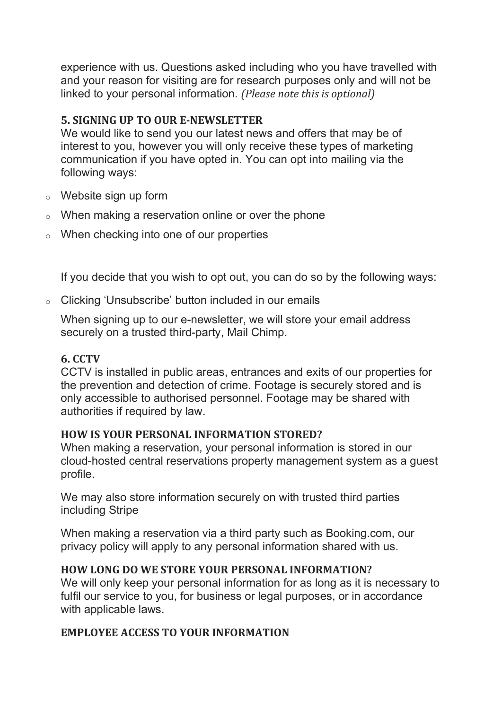experience with us. Questions asked including who you have travelled with and your reason for visiting are for research purposes only and will not be linked to your personal information. (Please note this is optional)

#### 5. SIGNING UP TO OUR E-NEWSLETTER

We would like to send you our latest news and offers that may be of interest to you, however you will only receive these types of marketing communication if you have opted in. You can opt into mailing via the following ways:

- o Website sign up form
- $\circ$  When making a reservation online or over the phone
- o When checking into one of our properties

If you decide that you wish to opt out, you can do so by the following ways:

o Clicking 'Unsubscribe' button included in our emails

When signing up to our e-newsletter, we will store your email address securely on a trusted third-party, Mail Chimp.

## 6. CCTV

CCTV is installed in public areas, entrances and exits of our properties for the prevention and detection of crime. Footage is securely stored and is only accessible to authorised personnel. Footage may be shared with authorities if required by law.

#### HOW IS YOUR PERSONAL INFORMATION STORED?

When making a reservation, your personal information is stored in our cloud-hosted central reservations property management system as a guest profile.

We may also store information securely on with trusted third parties including Stripe

When making a reservation via a third party such as Booking.com, our privacy policy will apply to any personal information shared with us.

# HOW LONG DO WE STORE YOUR PERSONAL INFORMATION?

We will only keep your personal information for as long as it is necessary to fulfil our service to you, for business or legal purposes, or in accordance with applicable laws.

# EMPLOYEE ACCESS TO YOUR INFORMATION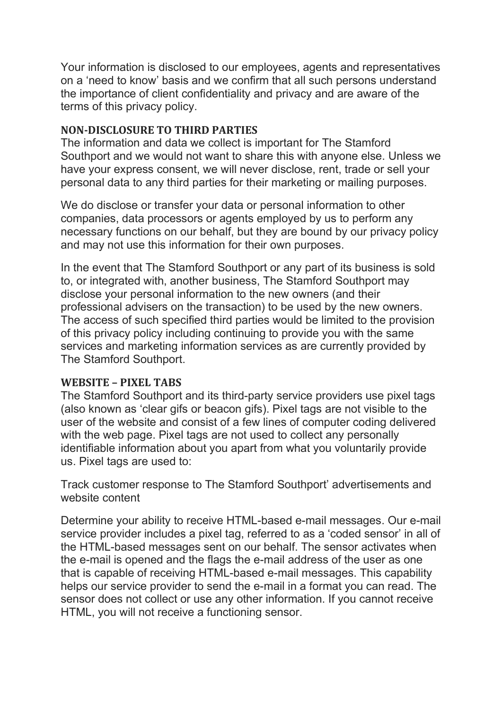Your information is disclosed to our employees, agents and representatives on a 'need to know' basis and we confirm that all such persons understand the importance of client confidentiality and privacy and are aware of the terms of this privacy policy.

#### NON-DISCLOSURE TO THIRD PARTIES

The information and data we collect is important for The Stamford Southport and we would not want to share this with anyone else. Unless we have your express consent, we will never disclose, rent, trade or sell your personal data to any third parties for their marketing or mailing purposes.

We do disclose or transfer your data or personal information to other companies, data processors or agents employed by us to perform any necessary functions on our behalf, but they are bound by our privacy policy and may not use this information for their own purposes.

In the event that The Stamford Southport or any part of its business is sold to, or integrated with, another business, The Stamford Southport may disclose your personal information to the new owners (and their professional advisers on the transaction) to be used by the new owners. The access of such specified third parties would be limited to the provision of this privacy policy including continuing to provide you with the same services and marketing information services as are currently provided by The Stamford Southport.

#### WEBSITE – PIXEL TABS

The Stamford Southport and its third-party service providers use pixel tags (also known as 'clear gifs or beacon gifs). Pixel tags are not visible to the user of the website and consist of a few lines of computer coding delivered with the web page. Pixel tags are not used to collect any personally identifiable information about you apart from what you voluntarily provide us. Pixel tags are used to:

Track customer response to The Stamford Southport' advertisements and website content

Determine your ability to receive HTML-based e-mail messages. Our e-mail service provider includes a pixel tag, referred to as a 'coded sensor' in all of the HTML-based messages sent on our behalf. The sensor activates when the e-mail is opened and the flags the e-mail address of the user as one that is capable of receiving HTML-based e-mail messages. This capability helps our service provider to send the e-mail in a format you can read. The sensor does not collect or use any other information. If you cannot receive HTML, you will not receive a functioning sensor.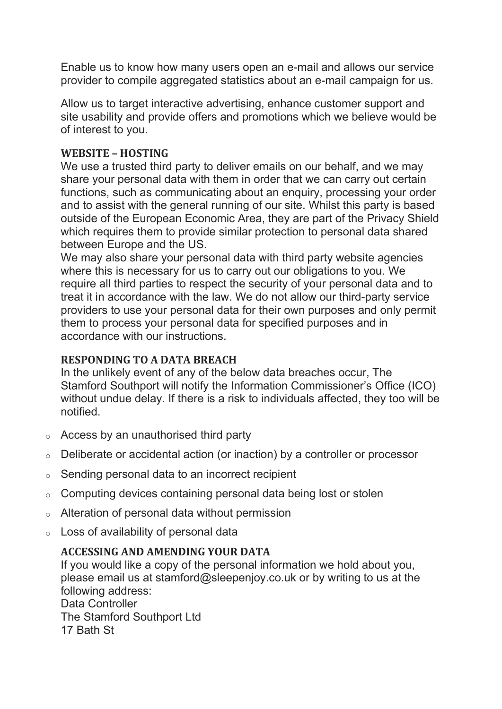Enable us to know how many users open an e-mail and allows our service provider to compile aggregated statistics about an e-mail campaign for us.

Allow us to target interactive advertising, enhance customer support and site usability and provide offers and promotions which we believe would be of interest to you.

## WEBSITE – HOSTING

We use a trusted third party to deliver emails on our behalf, and we may share your personal data with them in order that we can carry out certain functions, such as communicating about an enquiry, processing your order and to assist with the general running of our site. Whilst this party is based outside of the European Economic Area, they are part of the Privacy Shield which requires them to provide similar protection to personal data shared between Europe and the US.

We may also share your personal data with third party website agencies where this is necessary for us to carry out our obligations to you. We require all third parties to respect the security of your personal data and to treat it in accordance with the law. We do not allow our third-party service providers to use your personal data for their own purposes and only permit them to process your personal data for specified purposes and in accordance with our instructions.

## RESPONDING TO A DATA BREACH

In the unlikely event of any of the below data breaches occur, The Stamford Southport will notify the Information Commissioner's Office (ICO) without undue delay. If there is a risk to individuals affected, they too will be notified.

- $\circ$  Access by an unauthorised third party
- o Deliberate or accidental action (or inaction) by a controller or processor
- $\circ$  Sending personal data to an incorrect recipient
- o Computing devices containing personal data being lost or stolen
- o Alteration of personal data without permission
- o Loss of availability of personal data

# ACCESSING AND AMENDING YOUR DATA

If you would like a copy of the personal information we hold about you, please email us at stamford@sleepenjoy.co.uk or by writing to us at the following address:

Data Controller The Stamford Southport Ltd 17 Bath St